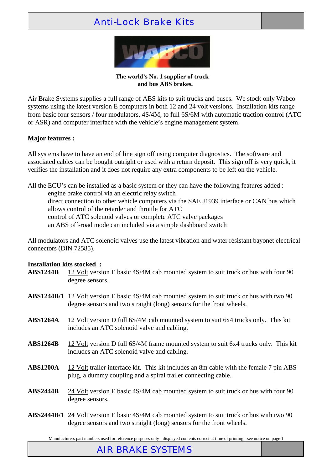## Anti-Lock Brake Kits



**The world's No. 1 supplier of truck and bus ABS brakes.** 

Air Brake Systems supplies a full range of ABS kits to suit trucks and buses. We stock only Wabco systems using the latest version E computers in both 12 and 24 volt versions. Installation kits range from basic four sensors / four modulators, 4S/4M, to full 6S/6M with automatic traction control (ATC or ASR) and computer interface with the vehicle's engine management system.

## **Major features :**

All systems have to have an end of line sign off using computer diagnostics. The software and associated cables can be bought outright or used with a return deposit. This sign off is very quick, it verifies the installation and it does not require any extra components to be left on the vehicle.

All the ECU's can be installed as a basic system or they can have the following features added : engine brake control via an electric relay switch direct connection to other vehicle computers via the SAE J1939 interface or CAN bus which allows control of the retarder and throttle for ATC control of ATC solenoid valves or complete ATC valve packages an ABS off-road mode can included via a simple dashboard switch

All modulators and ATC solenoid valves use the latest vibration and water resistant bayonet electrical connectors (DIN 72585).

## **Installation kits stocked :**

| <b>ABS1244B</b> | 12 Volt version E basic 4S/4M cab mounted system to suit truck or bus with four 90<br>degree sensors.                                                                       |
|-----------------|-----------------------------------------------------------------------------------------------------------------------------------------------------------------------------|
|                 | <b>ABS1244B/1</b> 12 Volt version E basic 4S/4M cab mounted system to suit truck or bus with two 90<br>degree sensors and two straight (long) sensors for the front wheels. |
| ABS1264A        | 12 Volt version D full 6S/4M cab mounted system to suit 6x4 trucks only. This kit<br>includes an ATC solenoid valve and cabling.                                            |
| <b>ABS1264B</b> | 12 Volt version D full 6S/4M frame mounted system to suit 6x4 trucks only. This kit<br>includes an ATC solenoid valve and cabling.                                          |
| <b>ABS1200A</b> | 12 Volt trailer interface kit. This kit includes an 8m cable with the female 7 pin ABS<br>plug, a dummy coupling and a spiral trailer connecting cable.                     |
| <b>ABS2444B</b> | 24 Volt version E basic 4S/4M cab mounted system to suit truck or bus with four 90<br>degree sensors.                                                                       |
|                 | <b>ABS2444B/1</b> 24 Volt version E basic 4S/4M cab mounted system to suit truck or bus with two 90<br>degree sensors and two straight (long) sensors for the front wheels. |

Manufacturers part numbers used for reference purposes only - displayed contents correct at time of printing - see notice on page 1